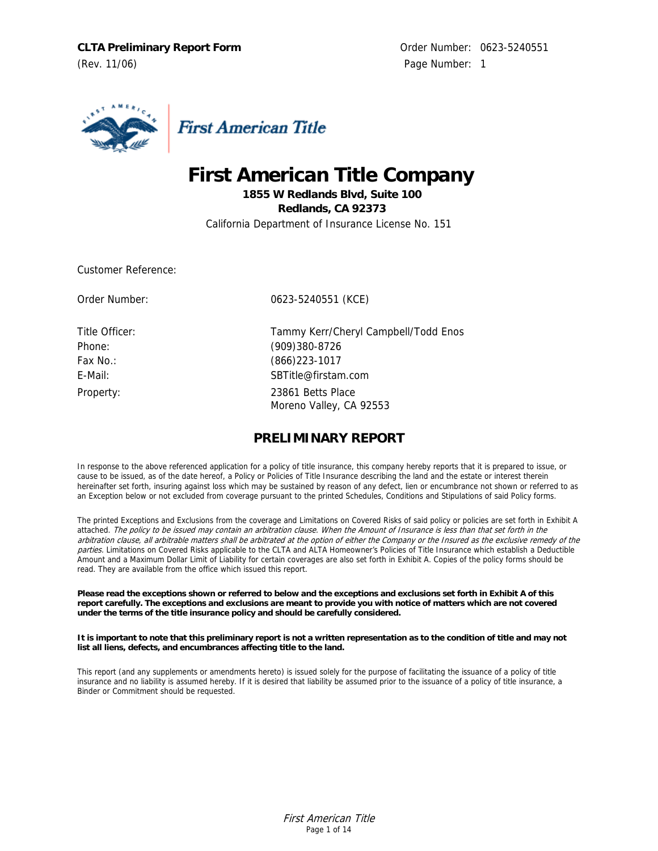**CLTA Preliminary Report Form** CLTA Contact CLTA Preliminary Report Form (Rev. 11/06) Page Number: 1



# **First American Title Company**

**1855 W Redlands Blvd, Suite 100 Redlands, CA 92373**  California Department of Insurance License No. 151

Customer Reference:

Order Number: 0623-5240551 (KCE)

Title Officer: Tammy Kerr/Cheryl Campbell/Todd Enos Phone: (909)380-8726 Fax No.: (866)223-1017 E-Mail: SBTitle@firstam.com Property: 23861 Betts Place Moreno Valley, CA 92553

# **PRELIMINARY REPORT**

In response to the above referenced application for a policy of title insurance, this company hereby reports that it is prepared to issue, or cause to be issued, as of the date hereof, a Policy or Policies of Title Insurance describing the land and the estate or interest therein hereinafter set forth, insuring against loss which may be sustained by reason of any defect, lien or encumbrance not shown or referred to as an Exception below or not excluded from coverage pursuant to the printed Schedules, Conditions and Stipulations of said Policy forms.

The printed Exceptions and Exclusions from the coverage and Limitations on Covered Risks of said policy or policies are set forth in Exhibit A attached. The policy to be issued may contain an arbitration clause. When the Amount of Insurance is less than that set forth in the arbitration clause, all arbitrable matters shall be arbitrated at the option of either the Company or the Insured as the exclusive remedy of the parties. Limitations on Covered Risks applicable to the CLTA and ALTA Homeowner's Policies of Title Insurance which establish a Deductible Amount and a Maximum Dollar Limit of Liability for certain coverages are also set forth in Exhibit A. Copies of the policy forms should be read. They are available from the office which issued this report.

**Please read the exceptions shown or referred to below and the exceptions and exclusions set forth in Exhibit A of this report carefully. The exceptions and exclusions are meant to provide you with notice of matters which are not covered under the terms of the title insurance policy and should be carefully considered.**

**It is important to note that this preliminary report is not a written representation as to the condition of title and may not list all liens, defects, and encumbrances affecting title to the land.**

This report (and any supplements or amendments hereto) is issued solely for the purpose of facilitating the issuance of a policy of title insurance and no liability is assumed hereby. If it is desired that liability be assumed prior to the issuance of a policy of title insurance, a Binder or Commitment should be requested.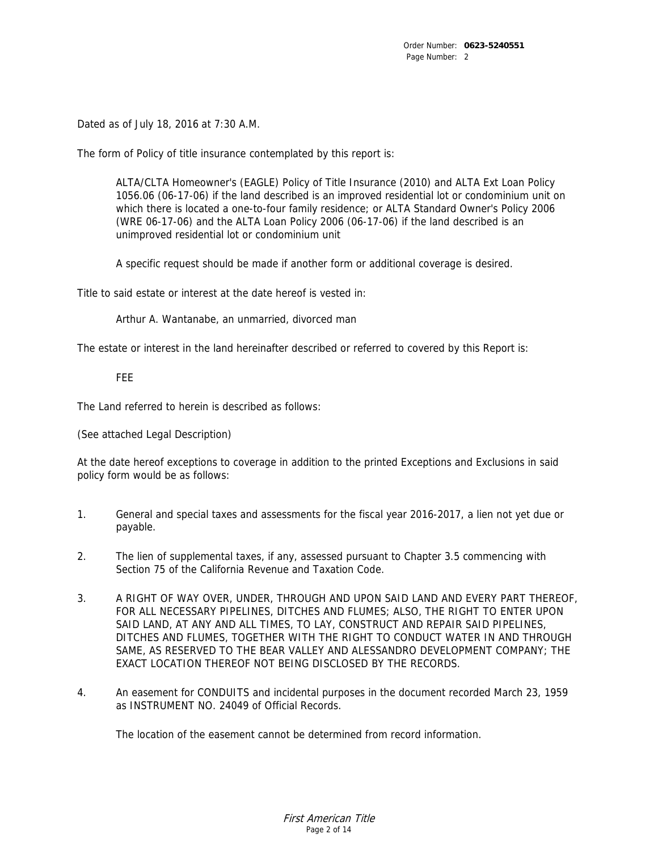Dated as of July 18, 2016 at 7:30 A.M.

The form of Policy of title insurance contemplated by this report is:

ALTA/CLTA Homeowner's (EAGLE) Policy of Title Insurance (2010) and ALTA Ext Loan Policy 1056.06 (06-17-06) if the land described is an improved residential lot or condominium unit on which there is located a one-to-four family residence; or ALTA Standard Owner's Policy 2006 (WRE 06-17-06) and the ALTA Loan Policy 2006 (06-17-06) if the land described is an unimproved residential lot or condominium unit

A specific request should be made if another form or additional coverage is desired.

Title to said estate or interest at the date hereof is vested in:

Arthur A. Wantanabe, an unmarried, divorced man

The estate or interest in the land hereinafter described or referred to covered by this Report is:

### FEE

The Land referred to herein is described as follows:

(See attached Legal Description)

At the date hereof exceptions to coverage in addition to the printed Exceptions and Exclusions in said policy form would be as follows:

- 1. General and special taxes and assessments for the fiscal year 2016-2017, a lien not yet due or payable.
- 2. The lien of supplemental taxes, if any, assessed pursuant to Chapter 3.5 commencing with Section 75 of the California Revenue and Taxation Code.
- 3. A RIGHT OF WAY OVER, UNDER, THROUGH AND UPON SAID LAND AND EVERY PART THEREOF, FOR ALL NECESSARY PIPELINES, DITCHES AND FLUMES; ALSO, THE RIGHT TO ENTER UPON SAID LAND, AT ANY AND ALL TIMES, TO LAY, CONSTRUCT AND REPAIR SAID PIPELINES, DITCHES AND FLUMES, TOGETHER WITH THE RIGHT TO CONDUCT WATER IN AND THROUGH SAME, AS RESERVED TO THE BEAR VALLEY AND ALESSANDRO DEVELOPMENT COMPANY; THE EXACT LOCATION THEREOF NOT BEING DISCLOSED BY THE RECORDS.
- 4. An easement for CONDUITS and incidental purposes in the document recorded March 23, 1959 as INSTRUMENT NO. 24049 of Official Records.

The location of the easement cannot be determined from record information.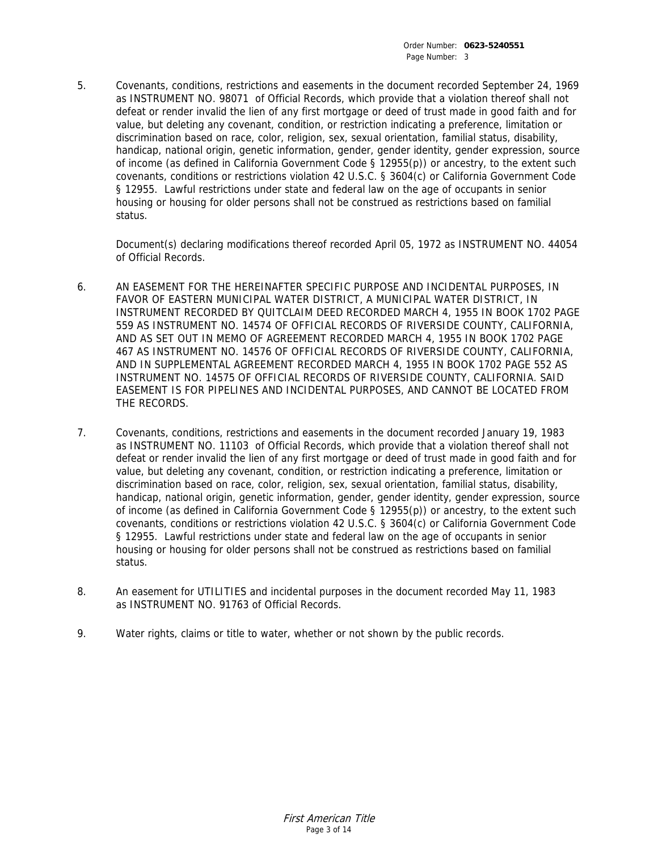5. Covenants, conditions, restrictions and easements in the document recorded September 24, 1969 as INSTRUMENT NO. 98071 of Official Records, which provide that a violation thereof shall not defeat or render invalid the lien of any first mortgage or deed of trust made in good faith and for value, but deleting any covenant, condition, or restriction indicating a preference, limitation or discrimination based on race, color, religion, sex, sexual orientation, familial status, disability, handicap, national origin, genetic information, gender, gender identity, gender expression, source of income (as defined in California Government Code § 12955(p)) or ancestry, to the extent such covenants, conditions or restrictions violation 42 U.S.C. § 3604(c) or California Government Code § 12955. Lawful restrictions under state and federal law on the age of occupants in senior housing or housing for older persons shall not be construed as restrictions based on familial status.

Document(s) declaring modifications thereof recorded April 05, 1972 as INSTRUMENT NO. 44054 of Official Records.

- 6. AN EASEMENT FOR THE HEREINAFTER SPECIFIC PURPOSE AND INCIDENTAL PURPOSES, IN FAVOR OF EASTERN MUNICIPAL WATER DISTRICT, A MUNICIPAL WATER DISTRICT, IN INSTRUMENT RECORDED BY QUITCLAIM DEED RECORDED MARCH 4, 1955 IN BOOK 1702 PAGE 559 AS INSTRUMENT NO. 14574 OF OFFICIAL RECORDS OF RIVERSIDE COUNTY, CALIFORNIA, AND AS SET OUT IN MEMO OF AGREEMENT RECORDED MARCH 4, 1955 IN BOOK 1702 PAGE 467 AS INSTRUMENT NO. 14576 OF OFFICIAL RECORDS OF RIVERSIDE COUNTY, CALIFORNIA, AND IN SUPPLEMENTAL AGREEMENT RECORDED MARCH 4, 1955 IN BOOK 1702 PAGE 552 AS INSTRUMENT NO. 14575 OF OFFICIAL RECORDS OF RIVERSIDE COUNTY, CALIFORNIA. SAID EASEMENT IS FOR PIPELINES AND INCIDENTAL PURPOSES, AND CANNOT BE LOCATED FROM THE RECORDS.
- 7. Covenants, conditions, restrictions and easements in the document recorded January 19, 1983 as INSTRUMENT NO. 11103 of Official Records, which provide that a violation thereof shall not defeat or render invalid the lien of any first mortgage or deed of trust made in good faith and for value, but deleting any covenant, condition, or restriction indicating a preference, limitation or discrimination based on race, color, religion, sex, sexual orientation, familial status, disability, handicap, national origin, genetic information, gender, gender identity, gender expression, source of income (as defined in California Government Code § 12955(p)) or ancestry, to the extent such covenants, conditions or restrictions violation 42 U.S.C. § 3604(c) or California Government Code § 12955. Lawful restrictions under state and federal law on the age of occupants in senior housing or housing for older persons shall not be construed as restrictions based on familial status.
- 8. An easement for UTILITIES and incidental purposes in the document recorded May 11, 1983 as INSTRUMENT NO. 91763 of Official Records.
- 9. Water rights, claims or title to water, whether or not shown by the public records.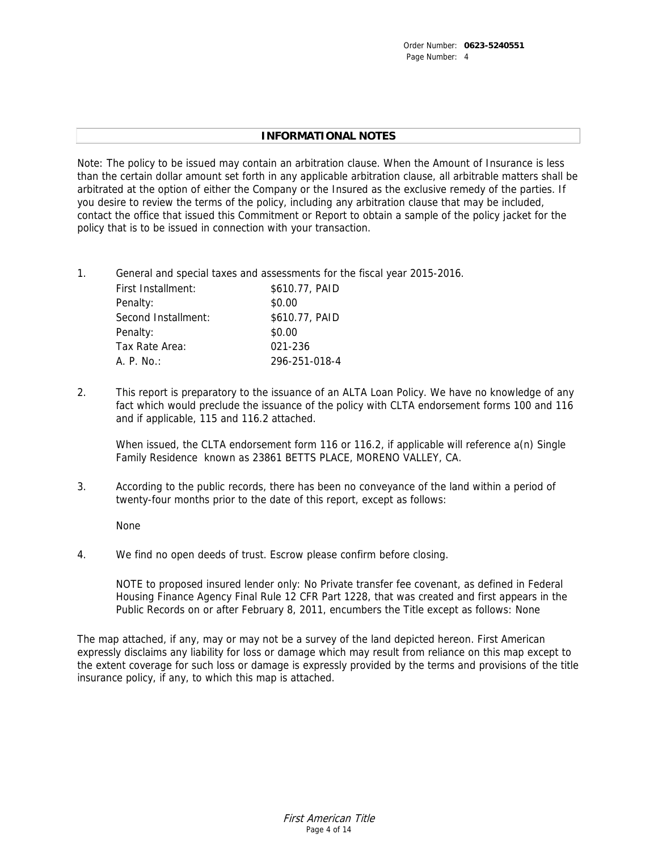# **INFORMATIONAL NOTES**

Note: The policy to be issued may contain an arbitration clause. When the Amount of Insurance is less than the certain dollar amount set forth in any applicable arbitration clause, all arbitrable matters shall be arbitrated at the option of either the Company or the Insured as the exclusive remedy of the parties. If you desire to review the terms of the policy, including any arbitration clause that may be included, contact the office that issued this Commitment or Report to obtain a sample of the policy jacket for the policy that is to be issued in connection with your transaction.

1. General and special taxes and assessments for the fiscal year 2015-2016.

| \$610.77, PAID |
|----------------|
| \$0.00         |
| \$610.77, PAID |
| \$0.00         |
| 021-236        |
| 296-251-018-4  |
|                |

2. This report is preparatory to the issuance of an ALTA Loan Policy. We have no knowledge of any fact which would preclude the issuance of the policy with CLTA endorsement forms 100 and 116 and if applicable, 115 and 116.2 attached.

When issued, the CLTA endorsement form 116 or 116.2, if applicable will reference a(n) Single Family Residence known as 23861 BETTS PLACE, MORENO VALLEY, CA.

3. According to the public records, there has been no conveyance of the land within a period of twenty-four months prior to the date of this report, except as follows:

None

4. We find no open deeds of trust. Escrow please confirm before closing.

NOTE to proposed insured lender only: No Private transfer fee covenant, as defined in Federal Housing Finance Agency Final Rule 12 CFR Part 1228, that was created and first appears in the Public Records on or after February 8, 2011, encumbers the Title except as follows: None

The map attached, if any, may or may not be a survey of the land depicted hereon. First American expressly disclaims any liability for loss or damage which may result from reliance on this map except to the extent coverage for such loss or damage is expressly provided by the terms and provisions of the title insurance policy, if any, to which this map is attached.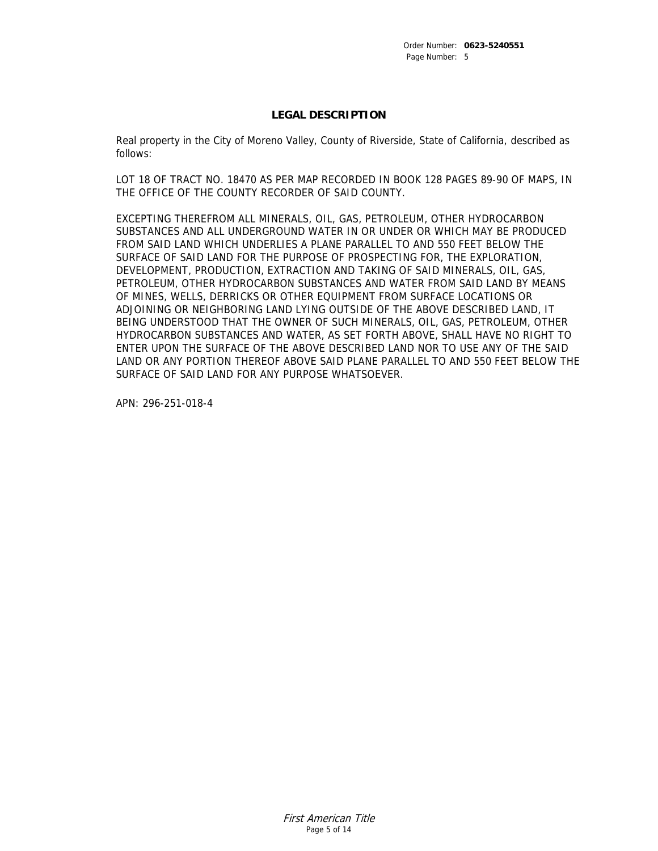## **LEGAL DESCRIPTION**

Real property in the City of Moreno Valley, County of Riverside, State of California, described as follows:

LOT 18 OF TRACT NO. 18470 AS PER MAP RECORDED IN BOOK 128 PAGES 89-90 OF MAPS, IN THE OFFICE OF THE COUNTY RECORDER OF SAID COUNTY.

EXCEPTING THEREFROM ALL MINERALS, OIL, GAS, PETROLEUM, OTHER HYDROCARBON SUBSTANCES AND ALL UNDERGROUND WATER IN OR UNDER OR WHICH MAY BE PRODUCED FROM SAID LAND WHICH UNDERLIES A PLANE PARALLEL TO AND 550 FEET BELOW THE SURFACE OF SAID LAND FOR THE PURPOSE OF PROSPECTING FOR, THE EXPLORATION, DEVELOPMENT, PRODUCTION, EXTRACTION AND TAKING OF SAID MINERALS, OIL, GAS, PETROLEUM, OTHER HYDROCARBON SUBSTANCES AND WATER FROM SAID LAND BY MEANS OF MINES, WELLS, DERRICKS OR OTHER EQUIPMENT FROM SURFACE LOCATIONS OR ADJOINING OR NEIGHBORING LAND LYING OUTSIDE OF THE ABOVE DESCRIBED LAND, IT BEING UNDERSTOOD THAT THE OWNER OF SUCH MINERALS, OIL, GAS, PETROLEUM, OTHER HYDROCARBON SUBSTANCES AND WATER, AS SET FORTH ABOVE, SHALL HAVE NO RIGHT TO ENTER UPON THE SURFACE OF THE ABOVE DESCRIBED LAND NOR TO USE ANY OF THE SAID LAND OR ANY PORTION THEREOF ABOVE SAID PLANE PARALLEL TO AND 550 FEET BELOW THE SURFACE OF SAID LAND FOR ANY PURPOSE WHATSOEVER.

APN: 296-251-018-4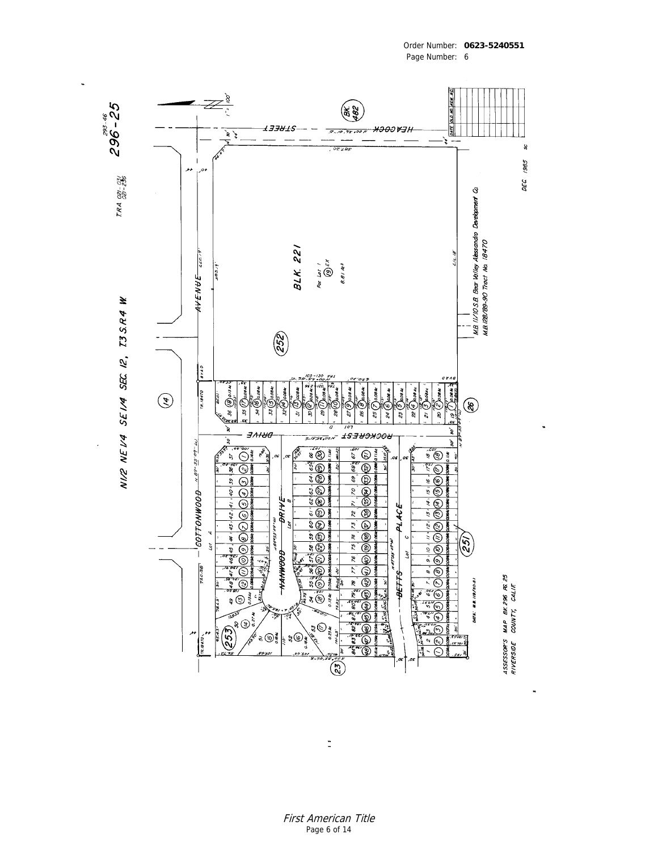

Page Number: 6

Order Number: **0623-5240551**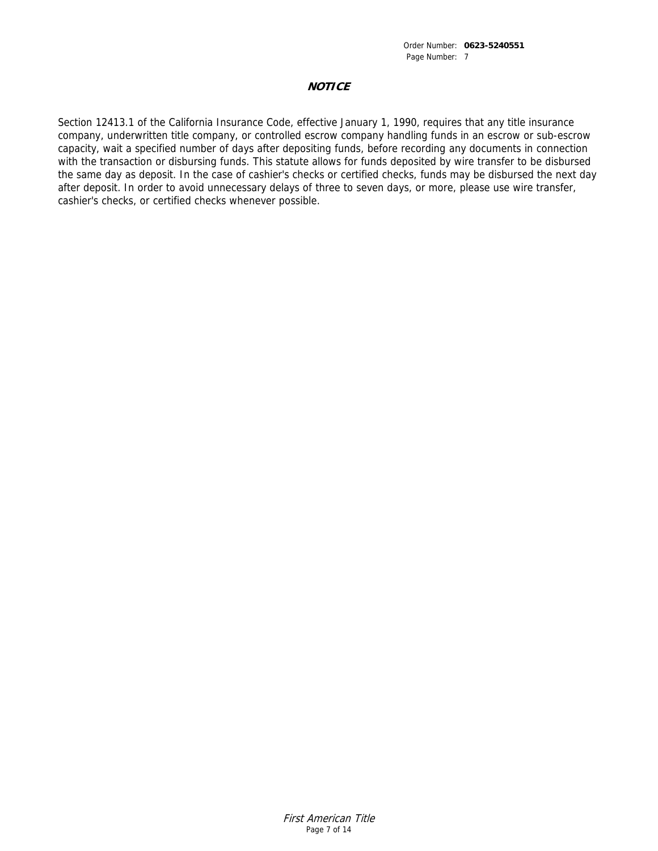# **NOTICE**

Section 12413.1 of the California Insurance Code, effective January 1, 1990, requires that any title insurance company, underwritten title company, or controlled escrow company handling funds in an escrow or sub-escrow capacity, wait a specified number of days after depositing funds, before recording any documents in connection with the transaction or disbursing funds. This statute allows for funds deposited by wire transfer to be disbursed the same day as deposit. In the case of cashier's checks or certified checks, funds may be disbursed the next day after deposit. In order to avoid unnecessary delays of three to seven days, or more, please use wire transfer, cashier's checks, or certified checks whenever possible.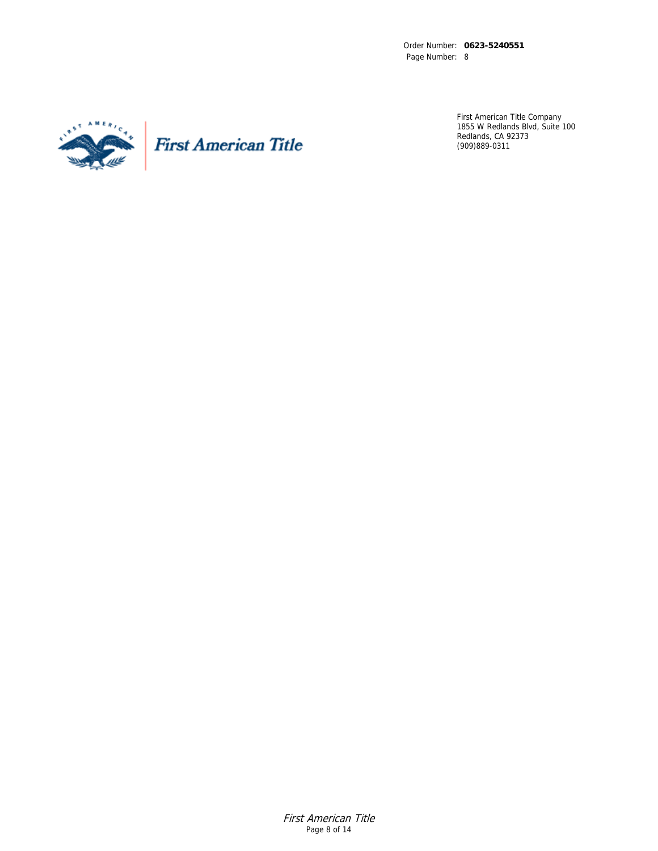Order Number: **0623-5240551**  Page Number: 8



**First American Title** 

First American Title Company 1855 W Redlands Blvd, Suite 100 Redlands, CA 92373 (909)889-0311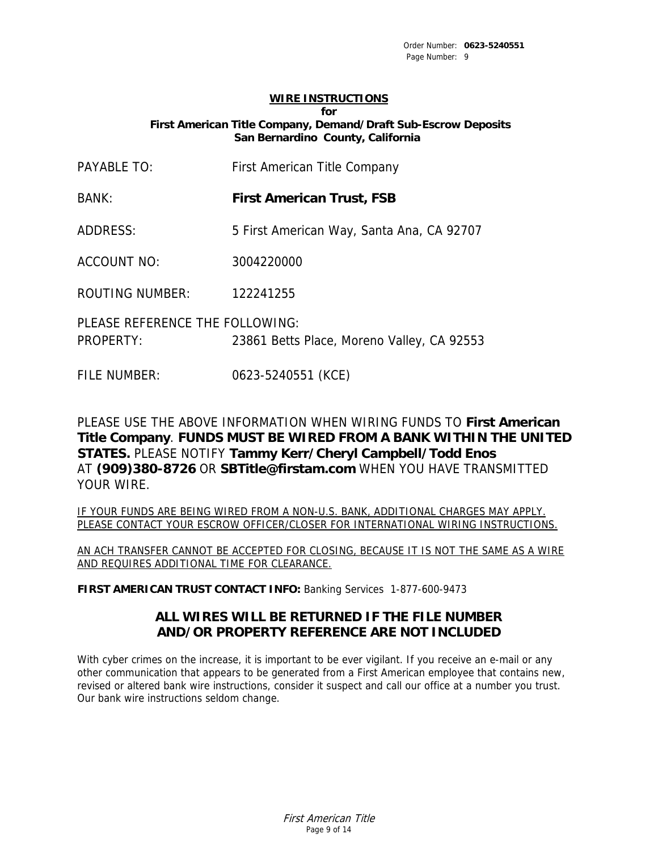# **WIRE INSTRUCTIONS**

**for**

 **First American Title Company, Demand/Draft Sub-Escrow Deposits San Bernardino County, California** 

| <b>PAYABLE TO:</b>                                  | First American Title Company               |
|-----------------------------------------------------|--------------------------------------------|
| <b>BANK:</b>                                        | <b>First American Trust, FSB</b>           |
| ADDRESS:                                            | 5 First American Way, Santa Ana, CA 92707  |
| <b>ACCOUNT NO:</b>                                  | 3004220000                                 |
| <b>ROUTING NUMBER:</b>                              | 122241255                                  |
| PLEASE REFERENCE THE FOLLOWING:<br><b>PROPERTY:</b> | 23861 Betts Place, Moreno Valley, CA 92553 |

FILE NUMBER: 0623-5240551 (KCE)

PLEASE USE THE ABOVE INFORMATION WHEN WIRING FUNDS TO **First American Title Company**. **FUNDS MUST BE WIRED FROM A BANK WITHIN THE UNITED STATES.** PLEASE NOTIFY **Tammy Kerr/Cheryl Campbell/Todd Enos**  AT **(909)380-8726** OR **SBTitle@firstam.com** WHEN YOU HAVE TRANSMITTED YOUR WIRE.

IF YOUR FUNDS ARE BEING WIRED FROM A NON-U.S. BANK, ADDITIONAL CHARGES MAY APPLY. PLEASE CONTACT YOUR ESCROW OFFICER/CLOSER FOR INTERNATIONAL WIRING INSTRUCTIONS.

AN ACH TRANSFER CANNOT BE ACCEPTED FOR CLOSING, BECAUSE IT IS NOT THE SAME AS A WIRE AND REQUIRES ADDITIONAL TIME FOR CLEARANCE.

**FIRST AMERICAN TRUST CONTACT INFO:** Banking Services 1-877-600-9473

# **ALL WIRES WILL BE RETURNED IF THE FILE NUMBER AND/OR PROPERTY REFERENCE ARE NOT INCLUDED**

With cyber crimes on the increase, it is important to be ever vigilant. If you receive an e-mail or any other communication that appears to be generated from a First American employee that contains new, revised or altered bank wire instructions, consider it suspect and call our office at a number you trust. Our bank wire instructions seldom change.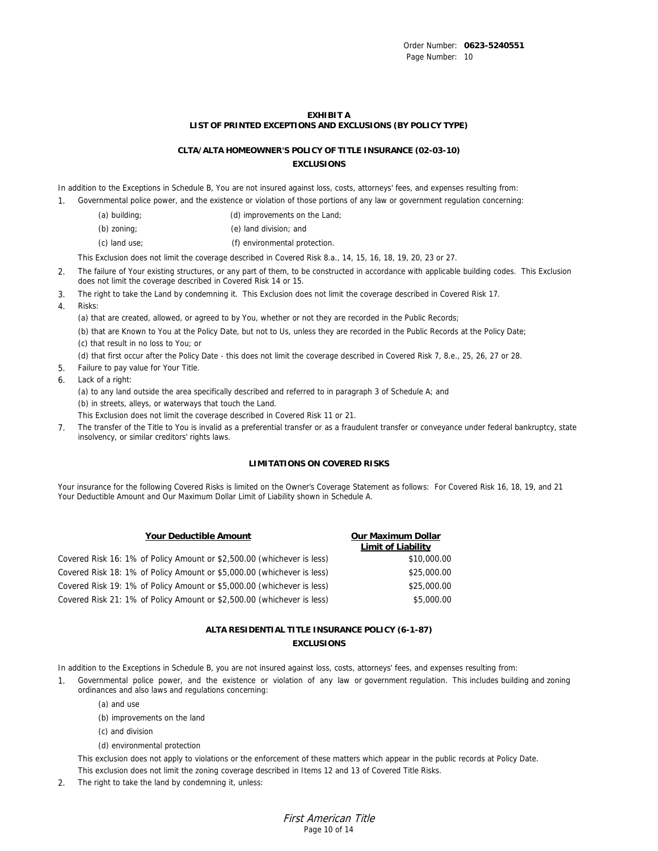#### **EXHIBIT A LIST OF PRINTED EXCEPTIONS AND EXCLUSIONS (BY POLICY TYPE)**

### **CLTA/ALTA HOMEOWNER'S POLICY OF TITLE INSURANCE (02-03-10) EXCLUSIONS**

In addition to the Exceptions in Schedule B, You are not insured against loss, costs, attorneys' fees, and expenses resulting from:

- 1. Governmental police power, and the existence or violation of those portions of any law or government regulation concerning:
	- (a) building; (a) improvements on the Land;
	- (b) zoning; (e) land division; and
	- (c) land use; (f) environmental protection.

This Exclusion does not limit the coverage described in Covered Risk 8.a., 14, 15, 16, 18, 19, 20, 23 or 27.

- 2. The failure of Your existing structures, or any part of them, to be constructed in accordance with applicable building codes. This Exclusion does not limit the coverage described in Covered Risk 14 or 15.
- 3. The right to take the Land by condemning it. This Exclusion does not limit the coverage described in Covered Risk 17.
- 4. Risks:

(a) that are created, allowed, or agreed to by You, whether or not they are recorded in the Public Records;

 (b) that are Known to You at the Policy Date, but not to Us, unless they are recorded in the Public Records at the Policy Date; (c) that result in no loss to You; or

(d) that first occur after the Policy Date - this does not limit the coverage described in Covered Risk 7, 8.e., 25, 26, 27 or 28.

- 5. Failure to pay value for Your Title.
- 6. Lack of a right:

 (a) to any land outside the area specifically described and referred to in paragraph 3 of Schedule A; and (b) in streets, alleys, or waterways that touch the Land.

This Exclusion does not limit the coverage described in Covered Risk 11 or 21.

7. The transfer of the Title to You is invalid as a preferential transfer or as a fraudulent transfer or conveyance under federal bankruptcy, state insolvency, or similar creditors' rights laws.

### **LIMITATIONS ON COVERED RISKS**

Your insurance for the following Covered Risks is limited on the Owner's Coverage Statement as follows: For Covered Risk 16, 18, 19, and 21 Your Deductible Amount and Our Maximum Dollar Limit of Liability shown in Schedule A.

| Your Deductible Amount                                                 | Our Maximum Dollar<br>Limit of Liability |
|------------------------------------------------------------------------|------------------------------------------|
| Covered Risk 16: 1% of Policy Amount or \$2,500.00 (whichever is less) | \$10,000.00                              |
| Covered Risk 18: 1% of Policy Amount or \$5,000.00 (whichever is less) | \$25,000.00                              |
| Covered Risk 19: 1% of Policy Amount or \$5,000.00 (whichever is less) | \$25,000.00                              |
| Covered Risk 21: 1% of Policy Amount or \$2,500.00 (whichever is less) | \$5,000.00                               |

### **ALTA RESIDENTIAL TITLE INSURANCE POLICY (6-1-87) EXCLUSIONS**

In addition to the Exceptions in Schedule B, you are not insured against loss, costs, attorneys' fees, and expenses resulting from:

- 1. Governmental police power, and the existence or violation of any law or government regulation. This includes building and zoning ordinances and also laws and regulations concerning:
	- (a) and use
	- (b) improvements on the land
	- (c) and division
	- (d) environmental protection

 This exclusion does not apply to violations or the enforcement of these matters which appear in the public records at Policy Date. This exclusion does not limit the zoning coverage described in Items 12 and 13 of Covered Title Risks.

2. The right to take the land by condemning it, unless: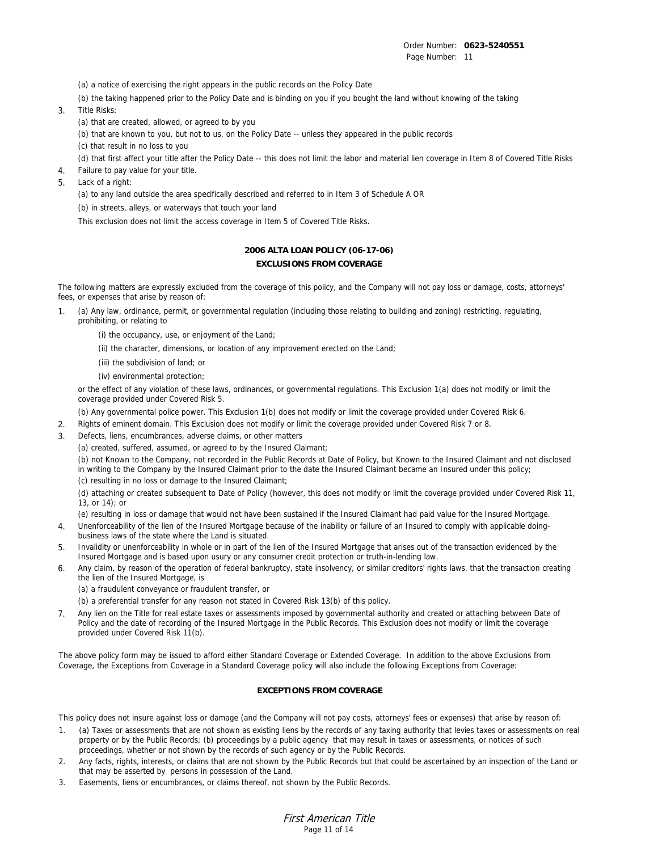Order Number: **0623-5240551**  Page Number: 11

(a) a notice of exercising the right appears in the public records on the Policy Date

(b) the taking happened prior to the Policy Date and is binding on you if you bought the land without knowing of the taking

3. Title Risks:

(a) that are created, allowed, or agreed to by you

(b) that are known to you, but not to us, on the Policy Date -- unless they appeared in the public records

(c) that result in no loss to you

(d) that first affect your title after the Policy Date -- this does not limit the labor and material lien coverage in Item 8 of Covered Title Risks

- 4. Failure to pay value for your title.
- 5. Lack of a right:

(a) to any land outside the area specifically described and referred to in Item 3 of Schedule A OR

(b) in streets, alleys, or waterways that touch your land

This exclusion does not limit the access coverage in Item 5 of Covered Title Risks.

### **2006 ALTA LOAN POLICY (06-17-06) EXCLUSIONS FROM COVERAGE**

The following matters are expressly excluded from the coverage of this policy, and the Company will not pay loss or damage, costs, attorneys' fees, or expenses that arise by reason of:

- 1. (a) Any law, ordinance, permit, or governmental regulation (including those relating to building and zoning) restricting, regulating, prohibiting, or relating to
	- (i) the occupancy, use, or enjoyment of the Land;
	- (ii) the character, dimensions, or location of any improvement erected on the Land;
	- (iii) the subdivision of land; or
	- (iv) environmental protection;

 or the effect of any violation of these laws, ordinances, or governmental regulations. This Exclusion 1(a) does not modify or limit the coverage provided under Covered Risk 5.

(b) Any governmental police power. This Exclusion 1(b) does not modify or limit the coverage provided under Covered Risk 6.

- 2. Rights of eminent domain. This Exclusion does not modify or limit the coverage provided under Covered Risk 7 or 8.
- 3. Defects, liens, encumbrances, adverse claims, or other matters
	- (a) created, suffered, assumed, or agreed to by the Insured Claimant;

 (b) not Known to the Company, not recorded in the Public Records at Date of Policy, but Known to the Insured Claimant and not disclosed in writing to the Company by the Insured Claimant prior to the date the Insured Claimant became an Insured under this policy; (c) resulting in no loss or damage to the Insured Claimant;

 (d) attaching or created subsequent to Date of Policy (however, this does not modify or limit the coverage provided under Covered Risk 11, 13, or 14); or

- (e) resulting in loss or damage that would not have been sustained if the Insured Claimant had paid value for the Insured Mortgage.
- 4. Unenforceability of the lien of the Insured Mortgage because of the inability or failure of an Insured to comply with applicable doingbusiness laws of the state where the Land is situated.
- 5. Invalidity or unenforceability in whole or in part of the lien of the Insured Mortgage that arises out of the transaction evidenced by the Insured Mortgage and is based upon usury or any consumer credit protection or truth-in-lending law.
- 6. Any claim, by reason of the operation of federal bankruptcy, state insolvency, or similar creditors' rights laws, that the transaction creating the lien of the Insured Mortgage, is
	- (a) a fraudulent conveyance or fraudulent transfer, or
	- (b) a preferential transfer for any reason not stated in Covered Risk 13(b) of this policy.
- 7. Any lien on the Title for real estate taxes or assessments imposed by governmental authority and created or attaching between Date of Policy and the date of recording of the Insured Mortgage in the Public Records. This Exclusion does not modify or limit the coverage provided under Covered Risk 11(b).

The above policy form may be issued to afford either Standard Coverage or Extended Coverage. In addition to the above Exclusions from Coverage, the Exceptions from Coverage in a Standard Coverage policy will also include the following Exceptions from Coverage:

### **EXCEPTIONS FROM COVERAGE**

This policy does not insure against loss or damage (and the Company will not pay costs, attorneys' fees or expenses) that arise by reason of:

- 1. (a) Taxes or assessments that are not shown as existing liens by the records of any taxing authority that levies taxes or assessments on real property or by the Public Records; (b) proceedings by a public agency that may result in taxes or assessments, or notices of such proceedings, whether or not shown by the records of such agency or by the Public Records.
- 2. Any facts, rights, interests, or claims that are not shown by the Public Records but that could be ascertained by an inspection of the Land or that may be asserted by persons in possession of the Land.
- 3. Easements, liens or encumbrances, or claims thereof, not shown by the Public Records.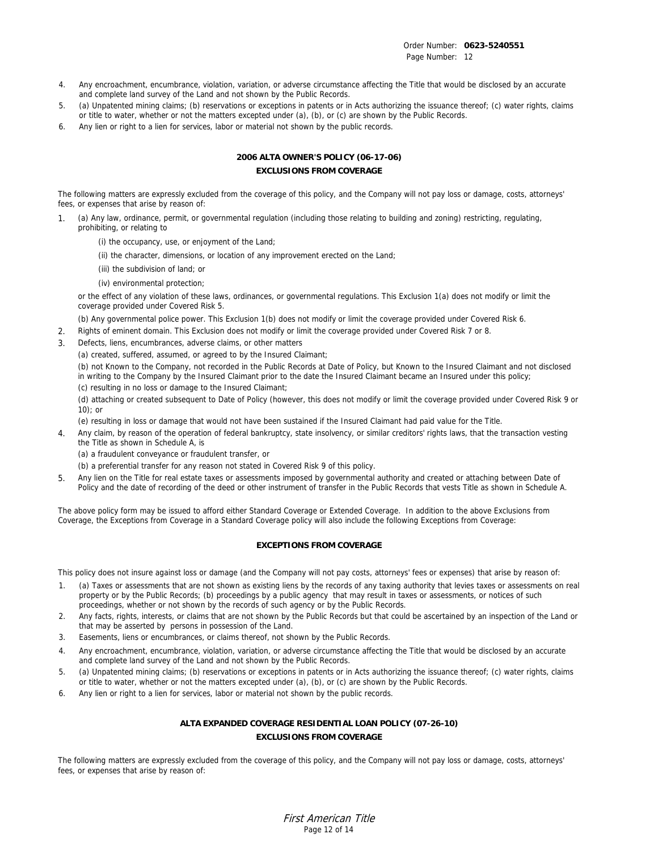- 4. Any encroachment, encumbrance, violation, variation, or adverse circumstance affecting the Title that would be disclosed by an accurate and complete land survey of the Land and not shown by the Public Records.
- 5. (a) Unpatented mining claims; (b) reservations or exceptions in patents or in Acts authorizing the issuance thereof; (c) water rights, claims or title to water, whether or not the matters excepted under (a), (b), or (c) are shown by the Public Records.
- 6. Any lien or right to a lien for services, labor or material not shown by the public records.

### **2006 ALTA OWNER'S POLICY (06-17-06) EXCLUSIONS FROM COVERAGE**

The following matters are expressly excluded from the coverage of this policy, and the Company will not pay loss or damage, costs, attorneys' fees, or expenses that arise by reason of:

- 1. (a) Any law, ordinance, permit, or governmental regulation (including those relating to building and zoning) restricting, regulating, prohibiting, or relating to
	- (i) the occupancy, use, or enjoyment of the Land;
	- (ii) the character, dimensions, or location of any improvement erected on the Land;
	- (iii) the subdivision of land; or
	- (iv) environmental protection;

 or the effect of any violation of these laws, ordinances, or governmental regulations. This Exclusion 1(a) does not modify or limit the coverage provided under Covered Risk 5.

- (b) Any governmental police power. This Exclusion 1(b) does not modify or limit the coverage provided under Covered Risk 6.
- 2. Rights of eminent domain. This Exclusion does not modify or limit the coverage provided under Covered Risk 7 or 8.
- 3. Defects, liens, encumbrances, adverse claims, or other matters
	- (a) created, suffered, assumed, or agreed to by the Insured Claimant;

 (b) not Known to the Company, not recorded in the Public Records at Date of Policy, but Known to the Insured Claimant and not disclosed in writing to the Company by the Insured Claimant prior to the date the Insured Claimant became an Insured under this policy; (c) resulting in no loss or damage to the Insured Claimant;

 (d) attaching or created subsequent to Date of Policy (however, this does not modify or limit the coverage provided under Covered Risk 9 or 10); or

- (e) resulting in loss or damage that would not have been sustained if the Insured Claimant had paid value for the Title.
- 4. Any claim, by reason of the operation of federal bankruptcy, state insolvency, or similar creditors' rights laws, that the transaction vesting the Title as shown in Schedule A, is
	- (a) a fraudulent conveyance or fraudulent transfer, or
	- (b) a preferential transfer for any reason not stated in Covered Risk 9 of this policy.
- 5. Any lien on the Title for real estate taxes or assessments imposed by governmental authority and created or attaching between Date of Policy and the date of recording of the deed or other instrument of transfer in the Public Records that vests Title as shown in Schedule A.

The above policy form may be issued to afford either Standard Coverage or Extended Coverage. In addition to the above Exclusions from Coverage, the Exceptions from Coverage in a Standard Coverage policy will also include the following Exceptions from Coverage:

### **EXCEPTIONS FROM COVERAGE**

This policy does not insure against loss or damage (and the Company will not pay costs, attorneys' fees or expenses) that arise by reason of:

- 1. (a) Taxes or assessments that are not shown as existing liens by the records of any taxing authority that levies taxes or assessments on real property or by the Public Records; (b) proceedings by a public agency that may result in taxes or assessments, or notices of such proceedings, whether or not shown by the records of such agency or by the Public Records.
- 2. Any facts, rights, interests, or claims that are not shown by the Public Records but that could be ascertained by an inspection of the Land or that may be asserted by persons in possession of the Land.
- 3. Easements, liens or encumbrances, or claims thereof, not shown by the Public Records.
- 4. Any encroachment, encumbrance, violation, variation, or adverse circumstance affecting the Title that would be disclosed by an accurate and complete land survey of the Land and not shown by the Public Records.
- 5. (a) Unpatented mining claims; (b) reservations or exceptions in patents or in Acts authorizing the issuance thereof; (c) water rights, claims or title to water, whether or not the matters excepted under (a), (b), or (c) are shown by the Public Records.
- 6. Any lien or right to a lien for services, labor or material not shown by the public records.

### **ALTA EXPANDED COVERAGE RESIDENTIAL LOAN POLICY (07-26-10) EXCLUSIONS FROM COVERAGE**

The following matters are expressly excluded from the coverage of this policy, and the Company will not pay loss or damage, costs, attorneys' fees, or expenses that arise by reason of: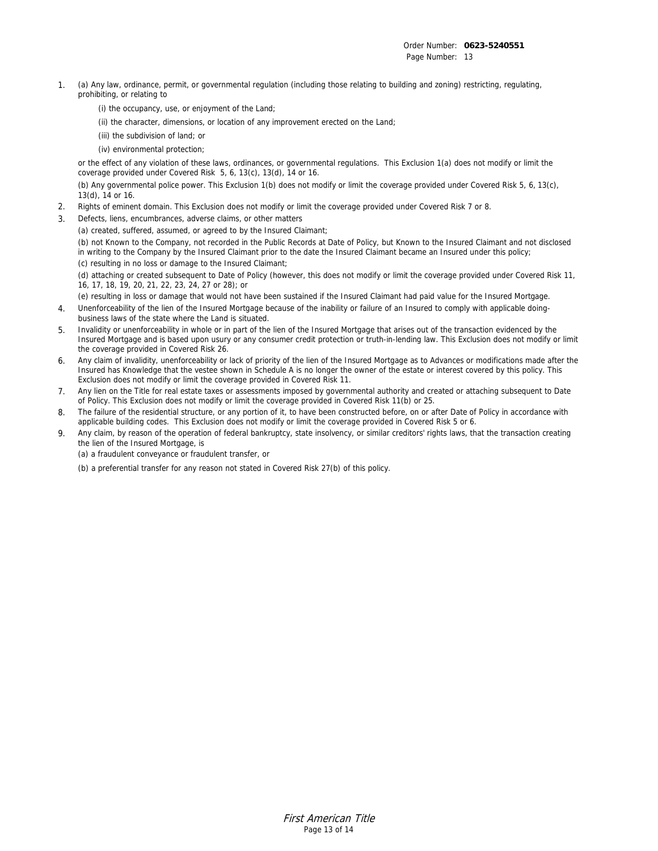- 1. (a) Any law, ordinance, permit, or governmental regulation (including those relating to building and zoning) restricting, regulating, prohibiting, or relating to
	- (i) the occupancy, use, or enjoyment of the Land;
	- (ii) the character, dimensions, or location of any improvement erected on the Land;
	- (iii) the subdivision of land; or
	- (iv) environmental protection;

 or the effect of any violation of these laws, ordinances, or governmental regulations. This Exclusion 1(a) does not modify or limit the coverage provided under Covered Risk 5, 6, 13(c), 13(d), 14 or 16.

 (b) Any governmental police power. This Exclusion 1(b) does not modify or limit the coverage provided under Covered Risk 5, 6, 13(c), 13(d), 14 or 16.

- 2. Rights of eminent domain. This Exclusion does not modify or limit the coverage provided under Covered Risk 7 or 8.
- Defects, liens, encumbrances, adverse claims, or other matters
	- (a) created, suffered, assumed, or agreed to by the Insured Claimant;

 (b) not Known to the Company, not recorded in the Public Records at Date of Policy, but Known to the Insured Claimant and not disclosed in writing to the Company by the Insured Claimant prior to the date the Insured Claimant became an Insured under this policy; (c) resulting in no loss or damage to the Insured Claimant;

 (d) attaching or created subsequent to Date of Policy (however, this does not modify or limit the coverage provided under Covered Risk 11, 16, 17, 18, 19, 20, 21, 22, 23, 24, 27 or 28); or

(e) resulting in loss or damage that would not have been sustained if the Insured Claimant had paid value for the Insured Mortgage.

- 4. Unenforceability of the lien of the Insured Mortgage because of the inability or failure of an Insured to comply with applicable doingbusiness laws of the state where the Land is situated.
- 5. Invalidity or unenforceability in whole or in part of the lien of the Insured Mortgage that arises out of the transaction evidenced by the Insured Mortgage and is based upon usury or any consumer credit protection or truth-in-lending law. This Exclusion does not modify or limit the coverage provided in Covered Risk 26.
- 6. Any claim of invalidity, unenforceability or lack of priority of the lien of the Insured Mortgage as to Advances or modifications made after the Insured has Knowledge that the vestee shown in Schedule A is no longer the owner of the estate or interest covered by this policy. This Exclusion does not modify or limit the coverage provided in Covered Risk 11.
- 7. Any lien on the Title for real estate taxes or assessments imposed by governmental authority and created or attaching subsequent to Date of Policy. This Exclusion does not modify or limit the coverage provided in Covered Risk 11(b) or 25.
- 8. The failure of the residential structure, or any portion of it, to have been constructed before, on or after Date of Policy in accordance with applicable building codes. This Exclusion does not modify or limit the coverage provided in Covered Risk 5 or 6.
- 9. Any claim, by reason of the operation of federal bankruptcy, state insolvency, or similar creditors' rights laws, that the transaction creating the lien of the Insured Mortgage, is

(a) a fraudulent conveyance or fraudulent transfer, or

(b) a preferential transfer for any reason not stated in Covered Risk 27(b) of this policy.